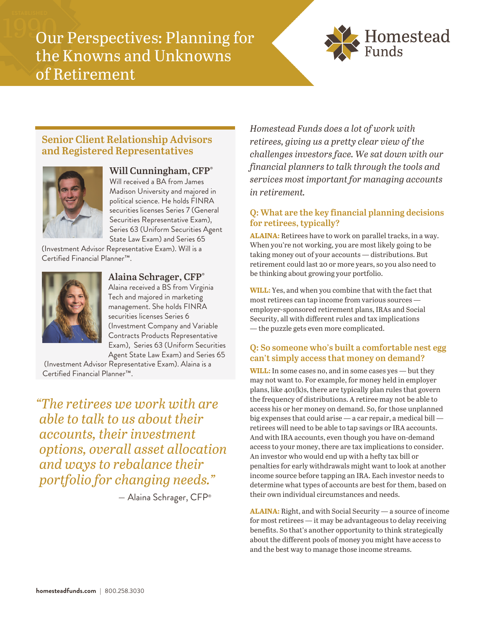Our Perspectives: Planning for the Knowns and Unknowns of Retirement



# **Senior Client Relationship Advisors and Registered Representatives**



### **Will Cunningham, CFP®**

Will received a BA from James Madison University and majored in political science. He holds FINRA securities licenses Series 7 (General Securities Representative Exam), Series 63 (Uniform Securities Agent State Law Exam) and Series 65

(Investment Advisor Representative Exam). Will is a Certified Financial Planner™.



**Alaina Schrager, CFP®** Alaina received a BS from Virginia Tech and majored in marketing management. She holds FINRA securities licenses Series 6 (Investment Company and Variable Contracts Products Representative Exam), Series 63 (Uniform Securities Agent State Law Exam) and Series 65

 (Investment Advisor Representative Exam). Alaina is a Certified Financial Planner™.

*"The retirees we work with are able to talk to us about their accounts, their investment options, overall asset allocation and ways to rebalance their portfolio for changing needs."* 

— Alaina Schrager, CFP®

*Homestead Funds does a lot of work with retirees, giving us a pretty clear view of the challenges investors face. We sat down with our financial planners to talk through the tools and services most important for managing accounts in retirement.* 

## **Q: What are the key financial planning decisions for retirees, typically?**

**ALAINA:** Retirees have to work on parallel tracks, in a way. When you're not working, you are most likely going to be taking money out of your accounts — distributions. But retirement could last 20 or more years, so you also need to be thinking about growing your portfolio.

**WILL:** Yes, and when you combine that with the fact that most retirees can tap income from various sources employer-sponsored retirement plans, IRAs and Social Security, all with different rules and tax implications — the puzzle gets even more complicated.

### **Q: So someone who's built a comfortable nest egg can't simply access that money on demand?**

**WILL:** In some cases no, and in some cases yes — but they may not want to. For example, for money held in employer plans, like 401(k)s, there are typically plan rules that govern the frequency of distributions. A retiree may not be able to access his or her money on demand. So, for those unplanned big expenses that could arise — a car repair, a medical bill retirees will need to be able to tap savings or IRA accounts. And with IRA accounts, even though you have on-demand access to your money, there are tax implications to consider. An investor who would end up with a hefty tax bill or penalties for early withdrawals might want to look at another income source before tapping an IRA. Each investor needs to determine what types of accounts are best for them, based on their own individual circumstances and needs.

**ALAINA:** Right, and with Social Security — a source of income for most retirees — it may be advantageous to delay receiving benefits. So that's another opportunity to think strategically about the different pools of money you might have access to and the best way to manage those income streams.